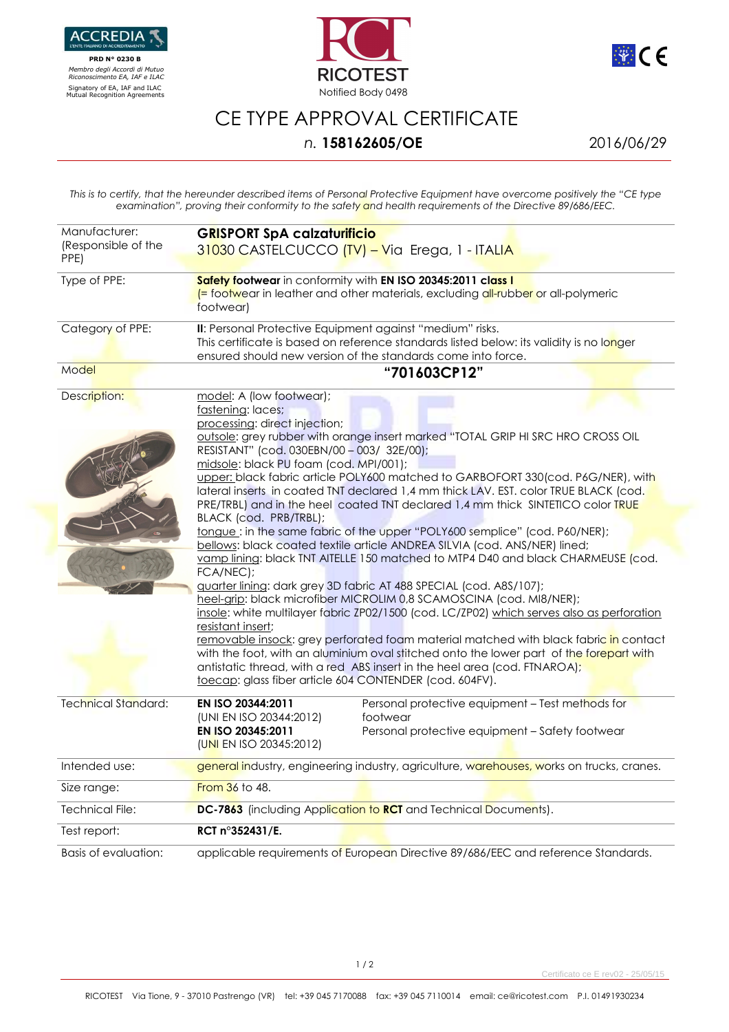

 **PRD N° 0230 B**   *Membro degli Accordi di Mutuo Riconoscimento EA, IAF e ILAC*





## CE TYPE APPROVAL CERTIFICATE

## *n.* **158162605/OE** 2016/06/29

*This is to certify, that the hereunder described items of Personal Protective Equipment have overcome positively the "CE type examination", proving their conformity to the safety and health requirements of the Directive 89/686/EEC.* 

| Manufacturer:<br>(Responsible of the | <b>GRISPORT SpA calzaturificio</b><br>31030 CASTELCUCCO (TV) – Via Erega, 1 - ITALIA                                                                                                                                                                                                                                                                                                                                                                                                                                                                                                                                                                                                    |
|--------------------------------------|-----------------------------------------------------------------------------------------------------------------------------------------------------------------------------------------------------------------------------------------------------------------------------------------------------------------------------------------------------------------------------------------------------------------------------------------------------------------------------------------------------------------------------------------------------------------------------------------------------------------------------------------------------------------------------------------|
| PPE)                                 |                                                                                                                                                                                                                                                                                                                                                                                                                                                                                                                                                                                                                                                                                         |
| Type of PPE:                         | Safety footwear in conformity with EN ISO 20345:2011 class I<br>(= footwear in leather and other materials, excluding all-rubber or all-polymeric<br>footwear)                                                                                                                                                                                                                                                                                                                                                                                                                                                                                                                          |
| Category of PPE:                     | II: Personal Protective Equipment against "medium" risks.<br>This certificate is based on reference standards listed below: its validity is no longer<br>ensured should new version of the standards come into force.                                                                                                                                                                                                                                                                                                                                                                                                                                                                   |
| Model                                | "701603CP12"                                                                                                                                                                                                                                                                                                                                                                                                                                                                                                                                                                                                                                                                            |
| Description:                         | model: A (low footwear);<br>fastening: laces;<br>processing: direct injection;<br>outsole: grey rubber with orange insert marked "TOTAL GRIP HI SRC HRO CROSS OIL                                                                                                                                                                                                                                                                                                                                                                                                                                                                                                                       |
|                                      | RESISTANT" (cod. 030EBN/00 - 003/ 32E/00);<br>midsole: black PU foam (cod. MPI/001);<br>upper: black fabric article POLY600 matched to GARBOFORT 330(cod. P6G/NER), with<br>lateral inserts in coated TNT declared 1,4 mm thick LAV. EST. color TRUE BLACK (cod.<br>PRE/TRBL) and in the heel coated TNT declared 1,4 mm thick SINTETICO color TRUE                                                                                                                                                                                                                                                                                                                                     |
|                                      | BLACK (cod. PRB/TRBL);<br>tongue: in the same fabric of the upper "POLY600 semplice" (cod. P60/NER);<br>bellows: black coated textile article ANDREA SILVIA (cod. ANS/NER) lined;                                                                                                                                                                                                                                                                                                                                                                                                                                                                                                       |
|                                      | vamp lining: black TNT AITELLE 150 matched to MTP4 D40 and black CHARMEUSE (cod.<br>FCA/NEC):<br>guarter lining: dark grey 3D fabric AT 488 SPECIAL (cod. A8S/107);<br>heel-grip: black microfiber MICROLIM 0,8 SCAMOSCINA (cod. MI8/NER);<br>insole: white multilayer fabric ZP02/1500 (cod. LC/ZP02) which serves also as perforation<br>resistant insert;<br>removable insock: grey perforated foam material matched with black fabric in contact<br>with the foot, with an aluminium oval stitched onto the lower part of the forepart with<br>antistatic thread, with a red ABS insert in the heel area (cod. FTNAROA);<br>toecap: glass fiber article 604 CONTENDER (cod. 604FV). |
| <b>Technical Standard:</b>           | EN ISO 20344:2011<br>Personal protective equipment - Test methods for<br>(UNI EN ISO 20344:2012)<br>footwear<br>EN ISO 20345:2011<br>Personal protective equipment - Safety footwear<br>(UNI EN ISO 20345:2012)                                                                                                                                                                                                                                                                                                                                                                                                                                                                         |
| Intended use:                        | general industry, engineering industry, agriculture, warehouses, works on trucks, cranes.                                                                                                                                                                                                                                                                                                                                                                                                                                                                                                                                                                                               |
| Size range:                          | <b>From 36 to 48.</b>                                                                                                                                                                                                                                                                                                                                                                                                                                                                                                                                                                                                                                                                   |
| <b>Technical File:</b>               | DC-7863 (including Application to RCT and Technical Documents).                                                                                                                                                                                                                                                                                                                                                                                                                                                                                                                                                                                                                         |
| Test report:                         | RCT n°352431/E.                                                                                                                                                                                                                                                                                                                                                                                                                                                                                                                                                                                                                                                                         |
| Basis of evaluation:                 | applicable requirements of European Directive 89/686/EEC and reference Standards.                                                                                                                                                                                                                                                                                                                                                                                                                                                                                                                                                                                                       |